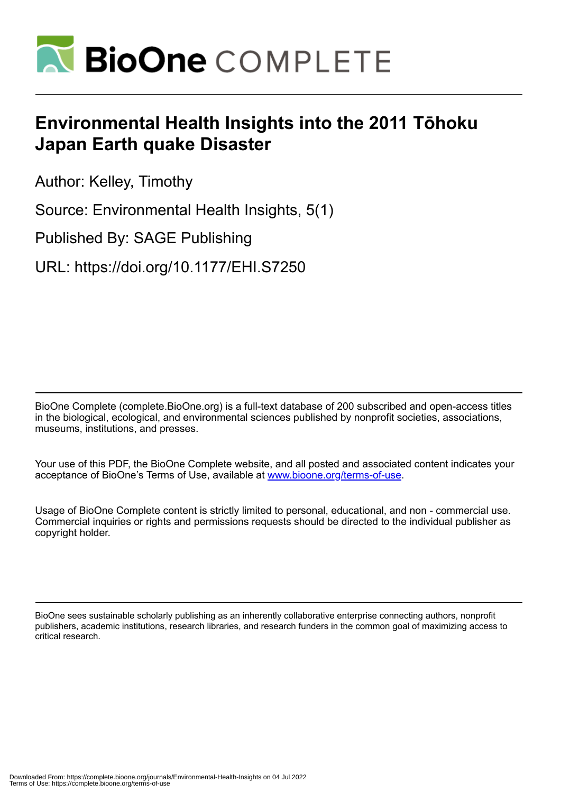

# **Environmental Health Insights into the 2011 Tōhoku Japan Earth quake Disaster**

Author: Kelley, Timothy

Source: Environmental Health Insights, 5(1)

Published By: SAGE Publishing

URL: https://doi.org/10.1177/EHI.S7250

BioOne Complete (complete.BioOne.org) is a full-text database of 200 subscribed and open-access titles in the biological, ecological, and environmental sciences published by nonprofit societies, associations, museums, institutions, and presses.

Your use of this PDF, the BioOne Complete website, and all posted and associated content indicates your acceptance of BioOne's Terms of Use, available at www.bioone.org/terms-of-use.

Usage of BioOne Complete content is strictly limited to personal, educational, and non - commercial use. Commercial inquiries or rights and permissions requests should be directed to the individual publisher as copyright holder.

BioOne sees sustainable scholarly publishing as an inherently collaborative enterprise connecting authors, nonprofit publishers, academic institutions, research libraries, and research funders in the common goal of maximizing access to critical research.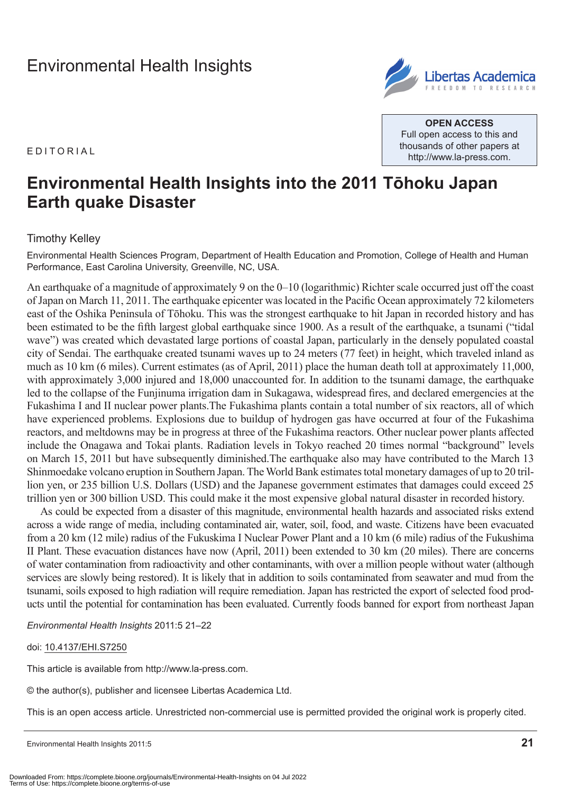## [Environmental Health Insights](http://www.la-press.com/environmental-health-insights-journal-j110)

E d it o r ial



**Open Access** Full open access to this and thousands of other papers at <http://www.la-press.com>.

## **Environmental Health Insights into the 2011 Tōhoku Japan Earth quake Disaster**

### Timothy Kelley

Environmental Health Sciences Program, Department of Health Education and Promotion, College of Health and Human Performance, East Carolina University, Greenville, NC, USA.

An earthquake of a magnitude of approximately 9 on the 0–10 (logarithmic) Richter scale occurred just off the coast of Japan on March 11, 2011. The earthquake epicenter was located in the Pacific Ocean approximately 72 kilometers east of the Oshika Peninsula of Tōhoku. This was the strongest earthquake to hit Japan in recorded history and has been estimated to be the fifth largest global earthquake since 1900. As a result of the earthquake, a tsunami ("tidal wave") was created which devastated large portions of coastal Japan, particularly in the densely populated coastal city of Sendai. The earthquake created tsunami waves up to 24 meters (77 feet) in height, which traveled inland as much as 10 km (6 miles). Current estimates (as of April, 2011) place the human death toll at approximately 11,000, with approximately 3,000 injured and 18,000 unaccounted for. In addition to the tsunami damage, the earthquake led to the collapse of the Funjinuma irrigation dam in Sukagawa, widespread fires, and declared emergencies at the Fukashima I and II nuclear power plants.The Fukashima plants contain a total number of six reactors, all of which have experienced problems. Explosions due to buildup of hydrogen gas have occurred at four of the Fukashima reactors, and meltdowns may be in progress at three of the Fukashima reactors. Other nuclear power plants affected include the Onagawa and Tokai plants. Radiation levels in Tokyo reached 20 times normal "background" levels on March 15, 2011 but have subsequently diminished.The earthquake also may have contributed to the March 13 Shinmoedake volcano eruption in Southern Japan. The World Bank estimates total monetary damages of up to 20 trillion yen, or 235 billion U.S. Dollars (USD) and the Japanese government estimates that damages could exceed 25 trillion yen or 300 billion USD. This could make it the most expensive global natural disaster in recorded history.

As could be expected from a disaster of this magnitude, environmental health hazards and associated risks extend across a wide range of media, including contaminated air, water, soil, food, and waste. Citizens have been evacuated from a 20 km (12 mile) radius of the Fukuskima I Nuclear Power Plant and a 10 km (6 mile) radius of the Fukushima II Plant. These evacuation distances have now (April, 2011) been extended to 30 km (20 miles). There are concerns of water contamination from radioactivity and other contaminants, with over a million people without water (although services are slowly being restored). It is likely that in addition to soils contaminated from seawater and mud from the tsunami, soils exposed to high radiation will require remediation. Japan has restricted the export of selected food products until the potential for contamination has been evaluated. Currently foods banned for export from northeast Japan

*Environmental Health Insights* 2011:5 21–22

#### doi: [10.4137/EHI.S7250](http://dx.doi.org/10.4137/EHI.S7250)

This article is available from [http://www.la-press.com.](http://www.la-press.com)

© the author(s), publisher and licensee Libertas Academica Ltd.

This is an open access article. Unrestricted non-commercial use is permitted provided the original work is properly cited.

Environmental Health Insights 2011:5 **21**